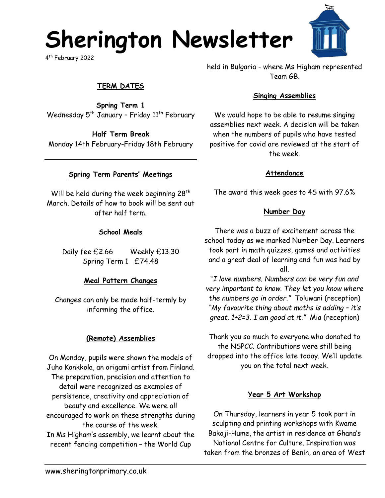## **Sherington Newsletter**

4 th February 2022

## **TERM DATES**

**Spring Term 1** Wednesday  $5<sup>th</sup>$  January - Friday  $11<sup>th</sup>$  February

**Half Term Break** Monday 14th February-Friday 18th February

#### **Spring Term Parents' Meetings**

Will be held during the week beginning  $28<sup>th</sup>$ March. Details of how to book will be sent out after half term.

#### **School Meals**

Daily fee £2.66 Weekly £13.30 Spring Term 1 £74.48

#### **Meal Pattern Changes**

Changes can only be made half-termly by informing the office.

### **(Remote) Assemblies**

On Monday, pupils were shown the models of Juho Konkkola, an origami artist from Finland. The preparation, precision and attention to detail were recognized as examples of persistence, creativity and appreciation of beauty and excellence. We were all encouraged to work on these strengths during the course of the week. In Ms Higham's assembly, we learnt about the recent fencing competition – the World Cup

held in Bulgaria - where Ms Higham represented Team GB.

#### **Singing Assemblies**

We would hope to be able to resume singing assemblies next week. A decision will be taken when the numbers of pupils who have tested positive for covid are reviewed at the start of the week.

#### **Attendance**

The award this week goes to 4S with 97.6%

#### **Number Day**

There was a buzz of excitement across the school today as we marked Number Day. Learners took part in math quizzes, games and activities and a great deal of learning and fun was had by all.

"*I love numbers. Numbers can be very fun and very important to know. They let you know where the numbers go in order."* Toluwani (reception) *"My favourite thing about maths is adding – it's great. 1+2=3. I am good at it."* Mia (reception)

Thank you so much to everyone who donated to the NSPCC. Contributions were still being dropped into the office late today. We'll update you on the total next week.

#### **Year 5 Art Workshop**

On Thursday, learners in year 5 took part in sculpting and printing workshops with Kwame Bakoji-Hume, the artist in residence at Ghana's National Centre for Culture. Inspiration was taken from the bronzes of Benin, an area of West

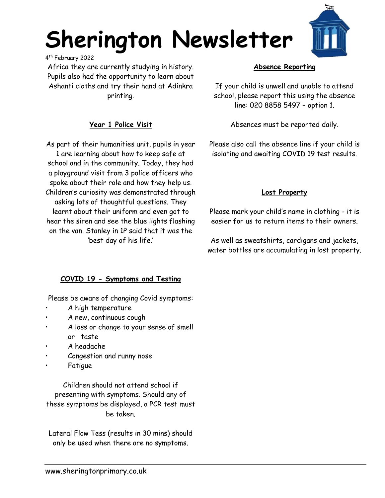# **Sherington Newsletter**

4 th February 2022

Africa they are currently studying in history. Pupils also had the opportunity to learn about Ashanti cloths and try their hand at Adinkra printing.

### **Year 1 Police Visit**

As part of their humanities unit, pupils in year 1 are learning about how to keep safe at school and in the community. Today, they had a playground visit from 3 police officers who spoke about their role and how they help us. Children's curiosity was demonstrated through asking lots of thoughtful questions. They learnt about their uniform and even got to hear the siren and see the blue lights flashing on the van. Stanley in 1P said that it was the 'best day of his life.'

#### **Absence Reporting**

If your child is unwell and unable to attend school, please report this using the absence line: 020 8858 5497 – option 1.

Absences must be reported daily.

Please also call the absence line if your child is isolating and awaiting COVID 19 test results.

#### **Lost Property**

Please mark your child's name in clothing - it is easier for us to return items to their owners.

As well as sweatshirts, cardigans and jackets, water bottles are accumulating in lost property.

#### **COVID 19 - Symptoms and Testing**

Please be aware of changing Covid symptoms:

- A high temperature
- A new, continuous cough
- A loss or change to your sense of smell or taste
- A headache
- Congestion and runny nose
- Fatigue

Children should not attend school if presenting with symptoms. Should any of these symptoms be displayed, a PCR test must be taken.

Lateral Flow Tess (results in 30 mins) should only be used when there are no symptoms.